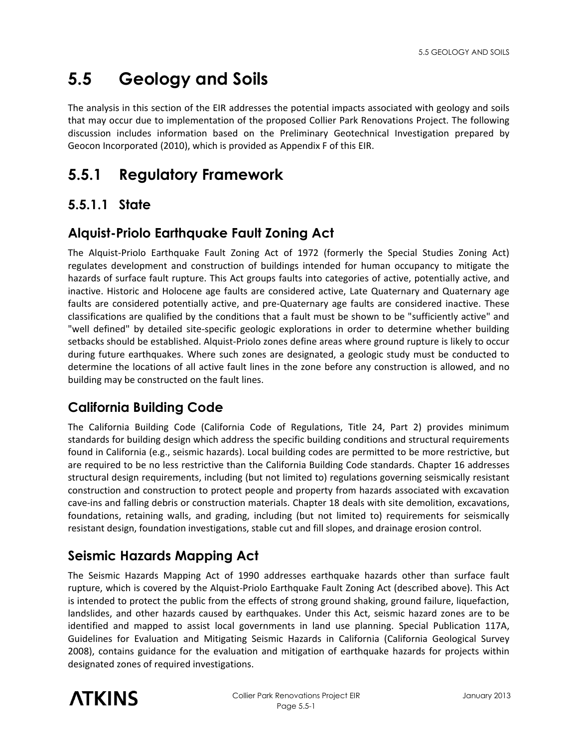# **5.5 Geology and Soils**

The analysis in this section of the EIR addresses the potential impacts associated with geology and soils that may occur due to implementation of the proposed Collier Park Renovations Project. The following discussion includes information based on the Preliminary Geotechnical Investigation prepared by Geocon Incorporated (2010), which is provided as Appendix F of this EIR.

# **5.5.1 Regulatory Framework**

#### **5.5.1.1 State**

#### **Alquist-Priolo Earthquake Fault Zoning Act**

The Alquist-Priolo Earthquake Fault Zoning Act of 1972 (formerly the Special Studies Zoning Act) regulates development and construction of buildings intended for human occupancy to mitigate the hazards of surface fault rupture. This Act groups faults into categories of active, potentially active, and inactive. Historic and Holocene age faults are considered active, Late Quaternary and Quaternary age faults are considered potentially active, and pre-Quaternary age faults are considered inactive. These classifications are qualified by the conditions that a fault must be shown to be "sufficiently active" and "well defined" by detailed site-specific geologic explorations in order to determine whether building setbacks should be established. Alquist-Priolo zones define areas where ground rupture is likely to occur during future earthquakes. Where such zones are designated, a geologic study must be conducted to determine the locations of all active fault lines in the zone before any construction is allowed, and no building may be constructed on the fault lines.

#### **California Building Code**

The California Building Code (California Code of Regulations, Title 24, Part 2) provides minimum standards for building design which address the specific building conditions and structural requirements found in California (e.g., seismic hazards). Local building codes are permitted to be more restrictive, but are required to be no less restrictive than the California Building Code standards. Chapter 16 addresses structural design requirements, including (but not limited to) regulations governing seismically resistant construction and construction to protect people and property from hazards associated with excavation cave-ins and falling debris or construction materials. Chapter 18 deals with site demolition, excavations, foundations, retaining walls, and grading, including (but not limited to) requirements for seismically resistant design, foundation investigations, stable cut and fill slopes, and drainage erosion control.

## **Seismic Hazards Mapping Act**

The Seismic Hazards Mapping Act of 1990 addresses earthquake hazards other than surface fault rupture, which is covered by the Alquist-Priolo Earthquake Fault Zoning Act (described above). This Act is intended to protect the public from the effects of strong ground shaking, ground failure, liquefaction, landslides, and other hazards caused by earthquakes. Under this Act, seismic hazard zones are to be identified and mapped to assist local governments in land use planning. Special Publication 117A, Guidelines for Evaluation and Mitigating Seismic Hazards in California (California Geological Survey 2008), contains guidance for the evaluation and mitigation of earthquake hazards for projects within designated zones of required investigations.

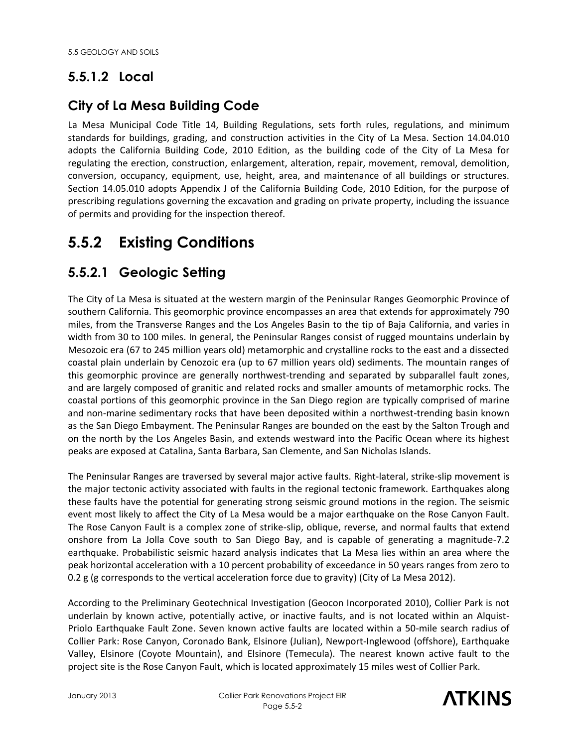# **5.5.1.2 Local**

#### **City of La Mesa Building Code**

La Mesa Municipal Code Title 14, Building Regulations, sets forth rules, regulations, and minimum standards for buildings, grading, and construction activities in the City of La Mesa. Section 14.04.010 adopts the California Building Code, 2010 Edition, as the building code of the City of La Mesa for regulating the erection, construction, enlargement, alteration, repair, movement, removal, demolition, conversion, occupancy, equipment, use, height, area, and maintenance of all buildings or structures. Section 14.05.010 adopts Appendix J of the California Building Code, 2010 Edition, for the purpose of prescribing regulations governing the excavation and grading on private property, including the issuance of permits and providing for the inspection thereof.

# **5.5.2 Existing Conditions**

#### **5.5.2.1 Geologic Setting**

The City of La Mesa is situated at the western margin of the Peninsular Ranges Geomorphic Province of southern California. This geomorphic province encompasses an area that extends for approximately 790 miles, from the Transverse Ranges and the Los Angeles Basin to the tip of Baja California, and varies in width from 30 to 100 miles. In general, the Peninsular Ranges consist of rugged mountains underlain by Mesozoic era (67 to 245 million years old) metamorphic and crystalline rocks to the east and a dissected coastal plain underlain by Cenozoic era (up to 67 million years old) sediments. The mountain ranges of this geomorphic province are generally northwest-trending and separated by subparallel fault zones, and are largely composed of granitic and related rocks and smaller amounts of metamorphic rocks. The coastal portions of this geomorphic province in the San Diego region are typically comprised of marine and non-marine sedimentary rocks that have been deposited within a northwest-trending basin known as the San Diego Embayment. The Peninsular Ranges are bounded on the east by the Salton Trough and on the north by the Los Angeles Basin, and extends westward into the Pacific Ocean where its highest peaks are exposed at Catalina, Santa Barbara, San Clemente, and San Nicholas Islands.

The Peninsular Ranges are traversed by several major active faults. Right-lateral, strike-slip movement is the major tectonic activity associated with faults in the regional tectonic framework. Earthquakes along these faults have the potential for generating strong seismic ground motions in the region. The seismic event most likely to affect the City of La Mesa would be a major earthquake on the Rose Canyon Fault. The Rose Canyon Fault is a complex zone of strike-slip, oblique, reverse, and normal faults that extend onshore from La Jolla Cove south to San Diego Bay, and is capable of generating a magnitude-7.2 earthquake. Probabilistic seismic hazard analysis indicates that La Mesa lies within an area where the peak horizontal acceleration with a 10 percent probability of exceedance in 50 years ranges from zero to 0.2 g (g corresponds to the vertical acceleration force due to gravity) (City of La Mesa 2012).

According to the Preliminary Geotechnical Investigation (Geocon Incorporated 2010), Collier Park is not underlain by known active, potentially active, or inactive faults, and is not located within an Alquist-Priolo Earthquake Fault Zone. Seven known active faults are located within a 50-mile search radius of Collier Park: Rose Canyon, Coronado Bank, Elsinore (Julian), Newport-Inglewood (offshore), Earthquake Valley, Elsinore (Coyote Mountain), and Elsinore (Temecula). The nearest known active fault to the project site is the Rose Canyon Fault, which is located approximately 15 miles west of Collier Park.

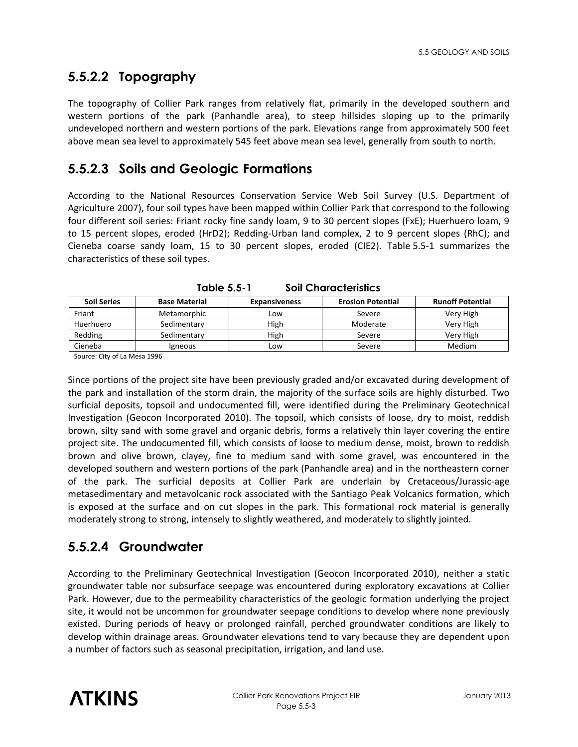# **5.5.2.2 Topography**

The topography of Collier Park ranges from relatively flat, primarily in the developed southern and western portions of the park (Panhandle area), to steep hillsides sloping up to the primarily undeveloped northern and western portions of the park. Elevations range from approximately 500 feet above mean sea level to approximately 545 feet above mean sea level, generally from south to north.

#### **5.5.2.3 Soils and Geologic Formations**

According to the National Resources Conservation Service Web Soil Survey (U.S. Department of Agriculture 2007), four soil types have been mapped within Collier Park that correspond to the following four different soil series: Friant rocky fine sandy loam, 9 to 30 percent slopes (FxE); Huerhuero loam, 9 to 15 percent slopes, eroded (HrD2); Redding-Urban land complex, 2 to 9 percent slopes (RhC); and Cieneba coarse sandy loam, 15 to 30 percent slopes, eroded (CIE2). Table 5.5-1 summarizes the characteristics of these soil types.

| <b>Soil Series</b> | <b>Base Material</b> | <b>Expansiveness</b> | <b>Erosion Potential</b> | <b>Runoff Potential</b> |
|--------------------|----------------------|----------------------|--------------------------|-------------------------|
| Friant             | Metamorphic          | Low                  | Severe                   | Very High               |
| Huerhuero          | Sedimentary          | High                 | Moderate                 | Very High               |
| Redding            | Sedimentary          | High                 | Severe                   | Very High               |
| Cieneba            | <i>lgneous</i>       | Low                  | Severe                   | <b>Medium</b>           |

**Table 5.5-1 Soil Characteristics** 

Source: City of La Mesa 1996

Since portions of the project site have been previously graded and/or excavated during development of the park and installation of the storm drain, the majority of the surface soils are highly disturbed. Two surficial deposits, topsoil and undocumented fill, were identified during the Preliminary Geotechnical Investigation (Geocon Incorporated 2010). The topsoil, which consists of loose, dry to moist, reddish brown, silty sand with some gravel and organic debris, forms a relatively thin layer covering the entire project site. The undocumented fill, which consists of loose to medium dense, moist, brown to reddish brown and olive brown, clayey, fine to medium sand with some gravel, was encountered in the developed southern and western portions of the park (Panhandle area) and in the northeastern corner of the park. The surficial deposits at Collier Park are underlain by Cretaceous/Jurassic-age metasedimentary and metavolcanic rock associated with the Santiago Peak Volcanics formation, which is exposed at the surface and on cut slopes in the park. This formational rock material is generally moderately strong to strong, intensely to slightly weathered, and moderately to slightly jointed.

## **5.5.2.4 Groundwater**

According to the Preliminary Geotechnical Investigation (Geocon Incorporated 2010), neither a static groundwater table nor subsurface seepage was encountered during exploratory excavations at Collier Park. However, due to the permeability characteristics of the geologic formation underlying the project site, it would not be uncommon for groundwater seepage conditions to develop where none previously existed. During periods of heavy or prolonged rainfall, perched groundwater conditions are likely to develop within drainage areas. Groundwater elevations tend to vary because they are dependent upon a number of factors such as seasonal precipitation, irrigation, and land use.

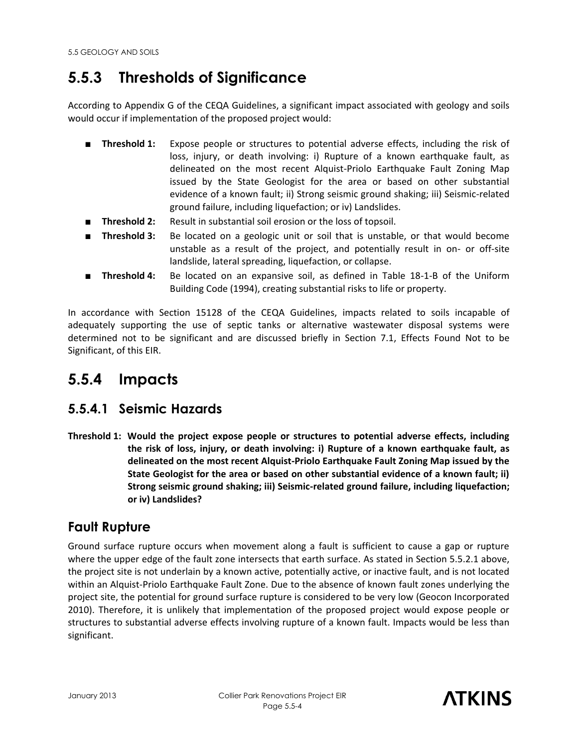# **5.5.3 Thresholds of Significance**

According to Appendix G of the CEQA Guidelines, a significant impact associated with geology and soils would occur if implementation of the proposed project would:

- **Threshold 1:** Expose people or structures to potential adverse effects, including the risk of loss, injury, or death involving: i) Rupture of a known earthquake fault, as delineated on the most recent Alquist-Priolo Earthquake Fault Zoning Map issued by the State Geologist for the area or based on other substantial evidence of a known fault; ii) Strong seismic ground shaking; iii) Seismic-related ground failure, including liquefaction; or iv) Landslides.
- **Threshold 2:** Result in substantial soil erosion or the loss of topsoil.
- **Threshold 3:** Be located on a geologic unit or soil that is unstable, or that would become unstable as a result of the project, and potentially result in on- or off-site landslide, lateral spreading, liquefaction, or collapse.
- **Threshold 4:** Be located on an expansive soil, as defined in Table 18-1-B of the Uniform Building Code (1994), creating substantial risks to life or property.

In accordance with Section 15128 of the CEQA Guidelines, impacts related to soils incapable of adequately supporting the use of septic tanks or alternative wastewater disposal systems were determined not to be significant and are discussed briefly in Section 7.1, Effects Found Not to be Significant, of this EIR.

# **5.5.4 Impacts**

## **5.5.4.1 Seismic Hazards**

**Threshold 1: Would the project expose people or structures to potential adverse effects, including the risk of loss, injury, or death involving: i) Rupture of a known earthquake fault, as delineated on the most recent Alquist-Priolo Earthquake Fault Zoning Map issued by the State Geologist for the area or based on other substantial evidence of a known fault; ii) Strong seismic ground shaking; iii) Seismic-related ground failure, including liquefaction; or iv) Landslides?** 

#### **Fault Rupture**

Ground surface rupture occurs when movement along a fault is sufficient to cause a gap or rupture where the upper edge of the fault zone intersects that earth surface. As stated in Section 5.5.2.1 above, the project site is not underlain by a known active, potentially active, or inactive fault, and is not located within an Alquist-Priolo Earthquake Fault Zone. Due to the absence of known fault zones underlying the project site, the potential for ground surface rupture is considered to be very low (Geocon Incorporated 2010). Therefore, it is unlikely that implementation of the proposed project would expose people or structures to substantial adverse effects involving rupture of a known fault. Impacts would be less than significant.

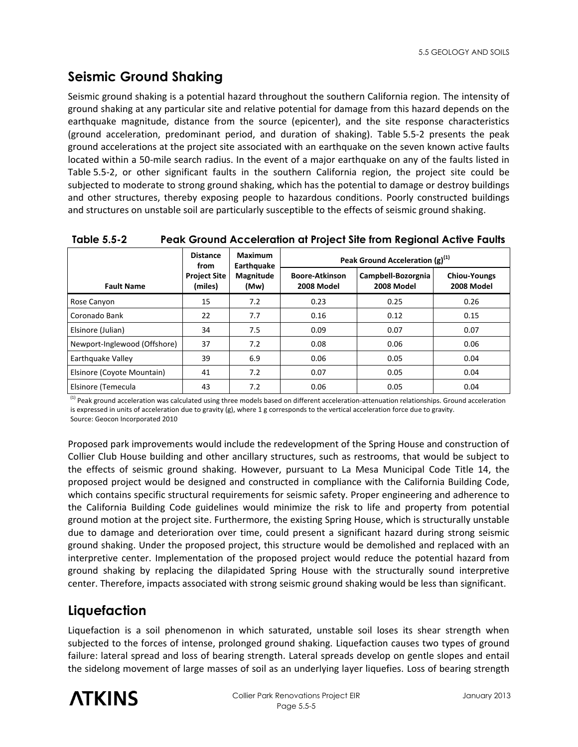# **Seismic Ground Shaking**

Seismic ground shaking is a potential hazard throughout the southern California region. The intensity of ground shaking at any particular site and relative potential for damage from this hazard depends on the earthquake magnitude, distance from the source (epicenter), and the site response characteristics (ground acceleration, predominant period, and duration of shaking). Table 5.5-2 presents the peak ground accelerations at the project site associated with an earthquake on the seven known active faults located within a 50-mile search radius. In the event of a major earthquake on any of the faults listed in Table 5.5-2, or other significant faults in the southern California region, the project site could be subjected to moderate to strong ground shaking, which has the potential to damage or destroy buildings and other structures, thereby exposing people to hazardous conditions. Poorly constructed buildings and structures on unstable soil are particularly susceptible to the effects of seismic ground shaking.

|                              | <b>Distance</b><br>from        | <b>Maximum</b><br>Earthquake | Peak Ground Acceleration $(g)^{(1)}$ |                                  |                                   |
|------------------------------|--------------------------------|------------------------------|--------------------------------------|----------------------------------|-----------------------------------|
| <b>Fault Name</b>            | <b>Project Site</b><br>(miles) | Magnitude<br>(Mw)            | <b>Boore-Atkinson</b><br>2008 Model  | Campbell-Bozorgnia<br>2008 Model | <b>Chiou-Youngs</b><br>2008 Model |
| Rose Canyon                  | 15                             | 7.2                          | 0.23                                 | 0.25                             | 0.26                              |
| Coronado Bank                | 22                             | 7.7                          | 0.16                                 | 0.12                             | 0.15                              |
| Elsinore (Julian)            | 34                             | 7.5                          | 0.09                                 | 0.07                             | 0.07                              |
| Newport-Inglewood (Offshore) | 37                             | 7.2                          | 0.08                                 | 0.06                             | 0.06                              |
| Earthquake Valley            | 39                             | 6.9                          | 0.06                                 | 0.05                             | 0.04                              |
| Elsinore (Coyote Mountain)   | 41                             | 7.2                          | 0.07                                 | 0.05                             | 0.04                              |
| Elsinore (Temecula           | 43                             | 7.2                          | 0.06                                 | 0.05                             | 0.04                              |

| Table 5.5-2 |  | <b>Peak Ground Acceleration at Project Site from Regional Active Faults</b> |
|-------------|--|-----------------------------------------------------------------------------|
|-------------|--|-----------------------------------------------------------------------------|

<sup>(1)</sup> Peak ground acceleration was calculated using three models based on different acceleration-attenuation relationships. Ground acceleration is expressed in units of acceleration due to gravity (g), where 1 g corresponds to the vertical acceleration force due to gravity. Source: Geocon Incorporated 2010

Proposed park improvements would include the redevelopment of the Spring House and construction of Collier Club House building and other ancillary structures, such as restrooms, that would be subject to the effects of seismic ground shaking. However, pursuant to La Mesa Municipal Code Title 14, the proposed project would be designed and constructed in compliance with the California Building Code, which contains specific structural requirements for seismic safety. Proper engineering and adherence to the California Building Code guidelines would minimize the risk to life and property from potential ground motion at the project site. Furthermore, the existing Spring House, which is structurally unstable due to damage and deterioration over time, could present a significant hazard during strong seismic ground shaking. Under the proposed project, this structure would be demolished and replaced with an interpretive center. Implementation of the proposed project would reduce the potential hazard from ground shaking by replacing the dilapidated Spring House with the structurally sound interpretive center. Therefore, impacts associated with strong seismic ground shaking would be less than significant.

## **Liquefaction**

Liquefaction is a soil phenomenon in which saturated, unstable soil loses its shear strength when subjected to the forces of intense, prolonged ground shaking. Liquefaction causes two types of ground failure: lateral spread and loss of bearing strength. Lateral spreads develop on gentle slopes and entail the sidelong movement of large masses of soil as an underlying layer liquefies. Loss of bearing strength

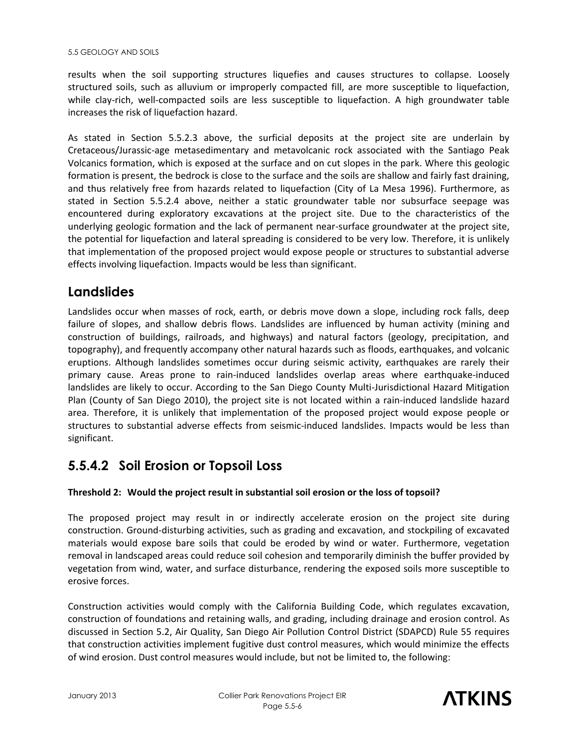results when the soil supporting structures liquefies and causes structures to collapse. Loosely structured soils, such as alluvium or improperly compacted fill, are more susceptible to liquefaction, while clay-rich, well-compacted soils are less susceptible to liquefaction. A high groundwater table increases the risk of liquefaction hazard.

As stated in Section 5.5.2.3 above, the surficial deposits at the project site are underlain by Cretaceous/Jurassic-age metasedimentary and metavolcanic rock associated with the Santiago Peak Volcanics formation, which is exposed at the surface and on cut slopes in the park. Where this geologic formation is present, the bedrock is close to the surface and the soils are shallow and fairly fast draining, and thus relatively free from hazards related to liquefaction (City of La Mesa 1996). Furthermore, as stated in Section 5.5.2.4 above, neither a static groundwater table nor subsurface seepage was encountered during exploratory excavations at the project site. Due to the characteristics of the underlying geologic formation and the lack of permanent near-surface groundwater at the project site, the potential for liquefaction and lateral spreading is considered to be very low. Therefore, it is unlikely that implementation of the proposed project would expose people or structures to substantial adverse effects involving liquefaction. Impacts would be less than significant.

## **Landslides**

Landslides occur when masses of rock, earth, or debris move down a slope, including rock falls, deep failure of slopes, and shallow debris flows. Landslides are influenced by human activity (mining and construction of buildings, railroads, and highways) and natural factors (geology, precipitation, and topography), and frequently accompany other natural hazards such as floods, earthquakes, and volcanic eruptions. Although landslides sometimes occur during seismic activity, earthquakes are rarely their primary cause. Areas prone to rain-induced landslides overlap areas where earthquake-induced landslides are likely to occur. According to the San Diego County Multi-Jurisdictional Hazard Mitigation Plan (County of San Diego 2010), the project site is not located within a rain-induced landslide hazard area. Therefore, it is unlikely that implementation of the proposed project would expose people or structures to substantial adverse effects from seismic-induced landslides. Impacts would be less than significant.

# **5.5.4.2 Soil Erosion or Topsoil Loss**

#### **Threshold 2: Would the project result in substantial soil erosion or the loss of topsoil?**

The proposed project may result in or indirectly accelerate erosion on the project site during construction. Ground-disturbing activities, such as grading and excavation, and stockpiling of excavated materials would expose bare soils that could be eroded by wind or water. Furthermore, vegetation removal in landscaped areas could reduce soil cohesion and temporarily diminish the buffer provided by vegetation from wind, water, and surface disturbance, rendering the exposed soils more susceptible to erosive forces.

Construction activities would comply with the California Building Code, which regulates excavation, construction of foundations and retaining walls, and grading, including drainage and erosion control. As discussed in Section 5.2, Air Quality, San Diego Air Pollution Control District (SDAPCD) Rule 55 requires that construction activities implement fugitive dust control measures, which would minimize the effects of wind erosion. Dust control measures would include, but not be limited to, the following:

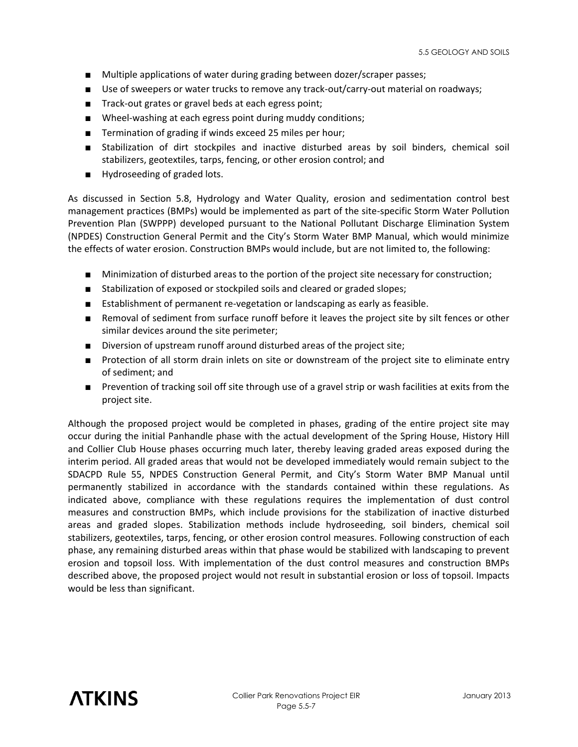- Multiple applications of water during grading between dozer/scraper passes;
- Use of sweepers or water trucks to remove any track-out/carry-out material on roadways;
- Track-out grates or gravel beds at each egress point;
- Wheel-washing at each egress point during muddy conditions;
- Termination of grading if winds exceed 25 miles per hour;
- Stabilization of dirt stockpiles and inactive disturbed areas by soil binders, chemical soil stabilizers, geotextiles, tarps, fencing, or other erosion control; and
- Hydroseeding of graded lots.

As discussed in Section 5.8, Hydrology and Water Quality, erosion and sedimentation control best management practices (BMPs) would be implemented as part of the site-specific Storm Water Pollution Prevention Plan (SWPPP) developed pursuant to the National Pollutant Discharge Elimination System (NPDES) Construction General Permit and the City's Storm Water BMP Manual, which would minimize the effects of water erosion. Construction BMPs would include, but are not limited to, the following:

- Minimization of disturbed areas to the portion of the project site necessary for construction;
- Stabilization of exposed or stockpiled soils and cleared or graded slopes;
- Establishment of permanent re-vegetation or landscaping as early as feasible.
- Removal of sediment from surface runoff before it leaves the project site by silt fences or other similar devices around the site perimeter;
- Diversion of upstream runoff around disturbed areas of the project site;
- Protection of all storm drain inlets on site or downstream of the project site to eliminate entry of sediment; and
- Prevention of tracking soil off site through use of a gravel strip or wash facilities at exits from the project site.

Although the proposed project would be completed in phases, grading of the entire project site may occur during the initial Panhandle phase with the actual development of the Spring House, History Hill and Collier Club House phases occurring much later, thereby leaving graded areas exposed during the interim period. All graded areas that would not be developed immediately would remain subject to the SDACPD Rule 55, NPDES Construction General Permit, and City's Storm Water BMP Manual until permanently stabilized in accordance with the standards contained within these regulations. As indicated above, compliance with these regulations requires the implementation of dust control measures and construction BMPs, which include provisions for the stabilization of inactive disturbed areas and graded slopes. Stabilization methods include hydroseeding, soil binders, chemical soil stabilizers, geotextiles, tarps, fencing, or other erosion control measures. Following construction of each phase, any remaining disturbed areas within that phase would be stabilized with landscaping to prevent erosion and topsoil loss. With implementation of the dust control measures and construction BMPs described above, the proposed project would not result in substantial erosion or loss of topsoil. Impacts would be less than significant.

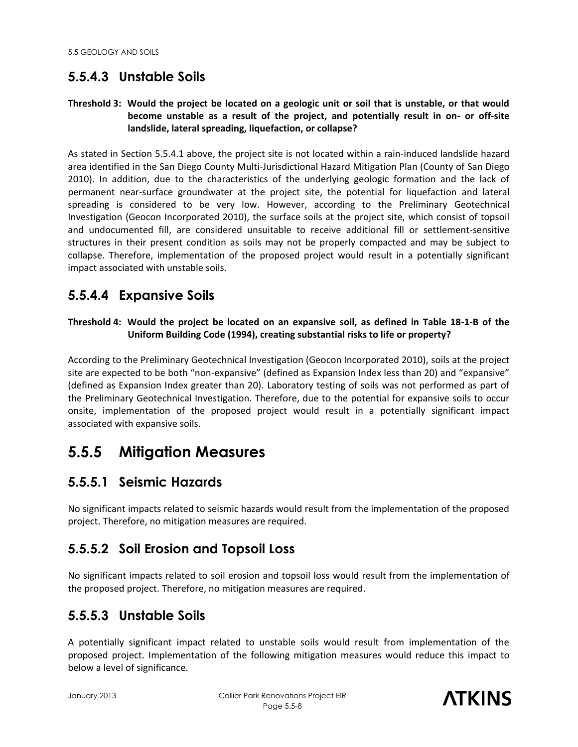# **5.5.4.3 Unstable Soils**

#### **Threshold 3: Would the project be located on a geologic unit or soil that is unstable, or that would become unstable as a result of the project, and potentially result in on- or off-site landslide, lateral spreading, liquefaction, or collapse?**

As stated in Section 5.5.4.1 above, the project site is not located within a rain-induced landslide hazard area identified in the San Diego County Multi-Jurisdictional Hazard Mitigation Plan (County of San Diego 2010). In addition, due to the characteristics of the underlying geologic formation and the lack of permanent near-surface groundwater at the project site, the potential for liquefaction and lateral spreading is considered to be very low. However, according to the Preliminary Geotechnical Investigation (Geocon Incorporated 2010), the surface soils at the project site, which consist of topsoil and undocumented fill, are considered unsuitable to receive additional fill or settlement-sensitive structures in their present condition as soils may not be properly compacted and may be subject to collapse. Therefore, implementation of the proposed project would result in a potentially significant impact associated with unstable soils.

#### **5.5.4.4 Expansive Soils**

#### **Threshold 4: Would the project be located on an expansive soil, as defined in Table 18-1-B of the Uniform Building Code (1994), creating substantial risks to life or property?**

According to the Preliminary Geotechnical Investigation (Geocon Incorporated 2010), soils at the project site are expected to be both "non-expansive" (defined as Expansion Index less than 20) and "expansive" (defined as Expansion Index greater than 20). Laboratory testing of soils was not performed as part of the Preliminary Geotechnical Investigation. Therefore, due to the potential for expansive soils to occur onsite, implementation of the proposed project would result in a potentially significant impact associated with expansive soils.

# **5.5.5 Mitigation Measures**

#### **5.5.5.1 Seismic Hazards**

No significant impacts related to seismic hazards would result from the implementation of the proposed project. Therefore, no mitigation measures are required.

## **5.5.5.2 Soil Erosion and Topsoil Loss**

No significant impacts related to soil erosion and topsoil loss would result from the implementation of the proposed project. Therefore, no mitigation measures are required.

## **5.5.5.3 Unstable Soils**

A potentially significant impact related to unstable soils would result from implementation of the proposed project. Implementation of the following mitigation measures would reduce this impact to below a level of significance.

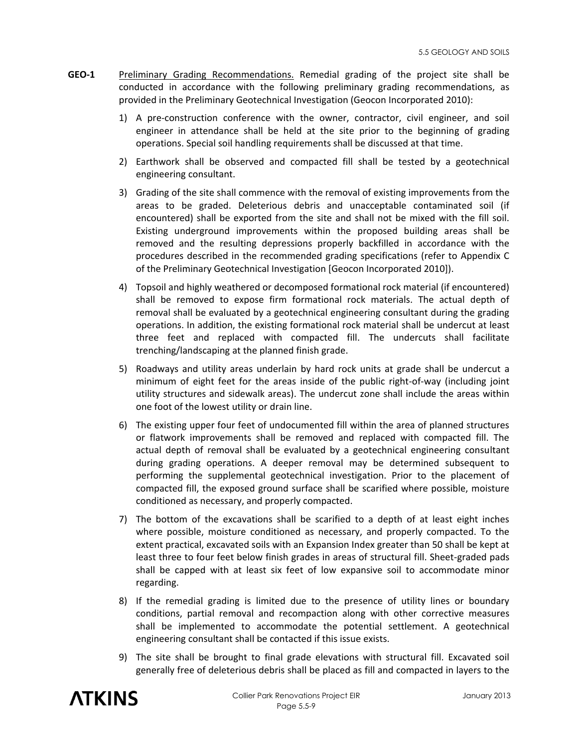- **GEO-1** Preliminary Grading Recommendations. Remedial grading of the project site shall be conducted in accordance with the following preliminary grading recommendations, as provided in the Preliminary Geotechnical Investigation (Geocon Incorporated 2010):
	- 1) A pre-construction conference with the owner, contractor, civil engineer, and soil engineer in attendance shall be held at the site prior to the beginning of grading operations. Special soil handling requirements shall be discussed at that time.
	- 2) Earthwork shall be observed and compacted fill shall be tested by a geotechnical engineering consultant.
	- 3) Grading of the site shall commence with the removal of existing improvements from the areas to be graded. Deleterious debris and unacceptable contaminated soil (if encountered) shall be exported from the site and shall not be mixed with the fill soil. Existing underground improvements within the proposed building areas shall be removed and the resulting depressions properly backfilled in accordance with the procedures described in the recommended grading specifications (refer to Appendix C of the Preliminary Geotechnical Investigation [Geocon Incorporated 2010]).
	- 4) Topsoil and highly weathered or decomposed formational rock material (if encountered) shall be removed to expose firm formational rock materials. The actual depth of removal shall be evaluated by a geotechnical engineering consultant during the grading operations. In addition, the existing formational rock material shall be undercut at least three feet and replaced with compacted fill. The undercuts shall facilitate trenching/landscaping at the planned finish grade.
	- 5) Roadways and utility areas underlain by hard rock units at grade shall be undercut a minimum of eight feet for the areas inside of the public right-of-way (including joint utility structures and sidewalk areas). The undercut zone shall include the areas within one foot of the lowest utility or drain line.
	- 6) The existing upper four feet of undocumented fill within the area of planned structures or flatwork improvements shall be removed and replaced with compacted fill. The actual depth of removal shall be evaluated by a geotechnical engineering consultant during grading operations. A deeper removal may be determined subsequent to performing the supplemental geotechnical investigation. Prior to the placement of compacted fill, the exposed ground surface shall be scarified where possible, moisture conditioned as necessary, and properly compacted.
	- 7) The bottom of the excavations shall be scarified to a depth of at least eight inches where possible, moisture conditioned as necessary, and properly compacted. To the extent practical, excavated soils with an Expansion Index greater than 50 shall be kept at least three to four feet below finish grades in areas of structural fill. Sheet-graded pads shall be capped with at least six feet of low expansive soil to accommodate minor regarding.
	- 8) If the remedial grading is limited due to the presence of utility lines or boundary conditions, partial removal and recompaction along with other corrective measures shall be implemented to accommodate the potential settlement. A geotechnical engineering consultant shall be contacted if this issue exists.
	- 9) The site shall be brought to final grade elevations with structural fill. Excavated soil generally free of deleterious debris shall be placed as fill and compacted in layers to the